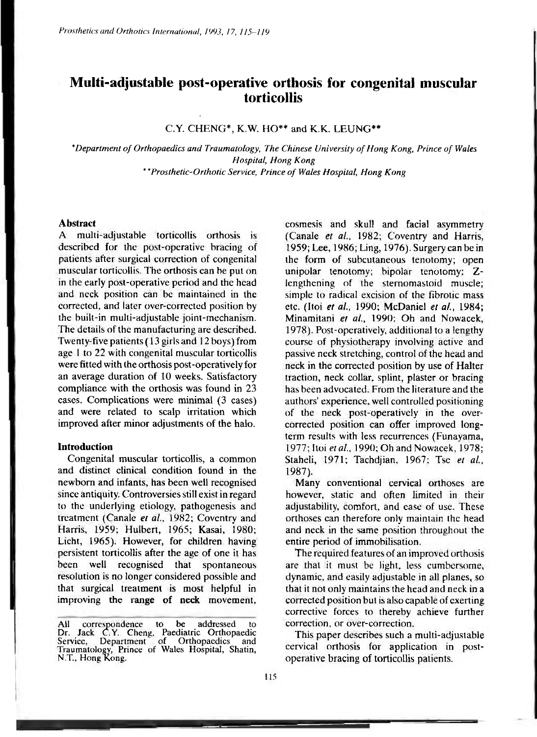# **Multi-adjustable post-operative orthosis for congenital muscular torticollis**

## C.Y. CHENG\*, K.W. HO\*\* and K.K. LEUNG\*\*

*\*Department of Orthopaedics and Traumatology, The Chinese University of Hong Kong, Prince of Wales Hospital, Hong Kong \*\*Prosthetic-Orthotic Service, Prince of Wales Hospital, Hong Kong* 

#### **Abstract**

A multi-adjustable torticollis orthosis is described for the post-operative bracing of patients after surgical correction of congenital muscular torticollis. The orthosis can be put on in the early post-operative period and the head and neck position can be maintained in the corrected, and later over-corrected position by the built-in multi-adjustable joint-mechanism. The details of the manufacturing are described. Twenty-five patients ( 13 girls and 12 boys) from age 1 to 22 with congenital muscular torticollis were fitted with the orthosis post-operatively for an average duration of 10 weeks. Satisfactory compliance with the orthosis was found in 23 cases. Complications were minimal (3 cases) and were related to scalp irritation which improved after minor adjustments of the halo.

#### **Introduction**

Congenital muscular torticollis, a common and distinct clinical condition found in the newborn and infants, has been well recognised since antiquity. Controversies still exist in regard to the underlying etiology, pathogenesis and treatment (Canale *et al.,* 1982; Coventry and Harris, 1959; Hulbert, 1965; Kasai, 1980; Licht, 1965). However, for children having persistent torticollis after the age of one it has been well recognised that spontaneous resolution is no longer considered possible and that surgical treatment is most helpful in improving the range of neck movement.

cosmesis and skull and facial asymmetry (Canale *et al.,* 1982; Coventry and Harris, 1959; Lee, 1986; Ling, 1976). Surgery can be in the form of subcutaneous tenotomy; open unipolar tenotomy; bipolar tenotomy; Zlengthening of the sternomastoid muscle: simple to radical excision of the fibrotic mass etc. (Itoi *et al.,* 1990; McDaniel *et al.,* 1984; Minamitani *et al.,* 1990; Oh and Nowacek, 1978). Post-operatively, additional to a lengthy course of physiotherapy involving active and passive neck stretching, control of the head and neck in the corrected position by use of Halter traction, neck collar, splint, plaster or bracing has been advocated. From the literature and the authors' experience, well controlled positioning of the neck post-operatively in the overcorrected position can offer improved longterm results with less recurrences (Funayama, 1977; Itoi *et al.,* 1990; Oh and Nowacek, 1978; Staheli, 1971; Tachdjian, 1967; Tse *et al.,*  1987).

Many conventional cervical orthoses are however, static and often limited in their adjustability, comfort, and ease of use. These orthoses can therefore only maintain the head and neck in the same position throughout the entire period of immobilisation.

The required features of an improved orthosis are that it must be light, less cumbersome, dynamic, and easily adjustable in all planes, so that it not only maintains the head and neck in a corrected position but is also capable of exerting corrective forces to thereby achieve further correction, or over-correction.

This paper describes such a multi-adjustable cervical orthosis for application in postoperative bracing of torticollis patients.

All correspondence to be addressed to Dr. Jack C.Y, Cheng. Paediatric Orthopaedic Service, Department of Orthopaedics and Traumatology, Prince of Wales Hospital, Shatin, N.T., Hong Kong.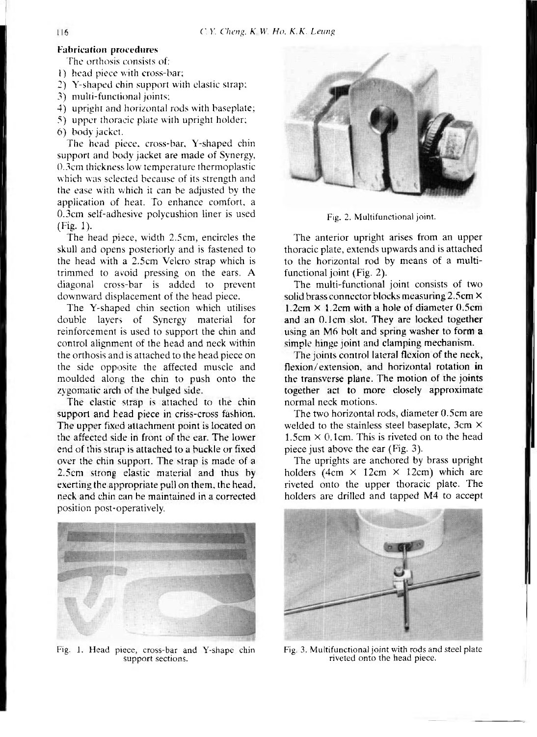#### Fabrication procedures

The orthosis consists of:

1) head piece with cross-bar;

- 2) Y-shaped chin support with elastic strap:
- 3) multi-functional joints;
- 4) upright and horizontal rods with baseplate;
- 5) upper thoracic plate with upright holder;
- 6) body jacket.

The head piece, cross-bar, Y-shaped chin support and body jacket are made of Synergy, 0.3cm thickness low temperature thermoplastic which was selected because of its strength and the ease with which it can be adjusted by the application of heat. To enhance comfort, a 0.3cm self-adhesive polycushion liner is used  $(Fi\varrho. 1)$ .

The head piece, width 2.5cm, encircles the skull and opens posteriorly and is fastened to the head with a 2.5cm Velcro strap which is trimmed to avoid pressing on the ears. A diagonal cross-bar is added to prevent downward displacement of the head piece.

The Y-shaped chin section which utilises double layers of Synergy material for reinforcement is used to support the chin and control alignment of the head and neck within the orthosis and is attached to the head piece on the side opposite the affected muscle and moulded along the chin to push onto the zygomatic arch of the bulged side.

The elastic strap is attached to the chin support and head piece in criss-cross fashion. The upper fixed attachment point is located on the affected side in front of the ear. The lower end of this strap is attached to a buckle or fixed over the chin support. The strap is made of a 2.5cm strong elastic material and thus by exerting the appropriate pull on them, the head, neck and chin can be maintained in a corrected position post-operatively.



Fig. 2. Multifunctional joint.

The anterior upright arises from an upper thoracic plate, extends upwards and is attached to the horizontal rod by means of a multifunctional joint (Fig. 2).

The multi-functional joint consists of two solid brass connector blocks measuring 2.5cm x  $1.2$ cm  $\times$  1.2cm with a hole of diameter 0.5cm and an 0.1cm slot. They are locked together using an M6 bolt and spring washer to form a simple hinge joint and clamping mechanism.

The joints control lateral flexion of the neck, flexion/extension, and horizontal rotation in the transverse plane. The motion of the joints together act to more closely approximate normal neck motions.

The two horizontal rods, diameter 0.5cm are welded to the stainless steel baseplate, 3cm X  $1.5cm \times 0.1cm$ . This is riveted on to the head piece just above the ear (Fig. 3).

The uprights are anchored by brass upright holders (4cm  $\times$  12cm  $\times$  12cm) which are riveted onto the upper thoracic plate. The holders are drilled and tapped M4 to accept



Fig. 1. Head piece, cross-bar and Y-shape chin support sections.



Fig. 3. Multifunctional joint with rods and steel plate riveted onto the head piece.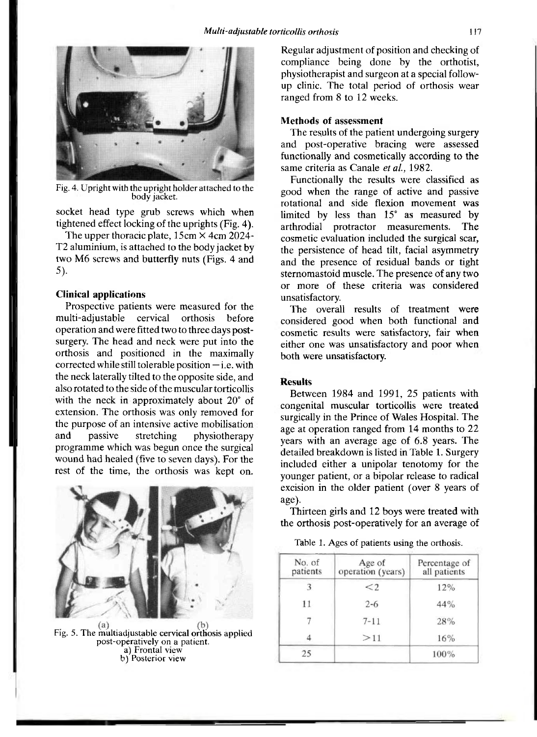

Fig. 4. Upright with the upright holder attached to the body jacket.

socket head type grub screws which when tightened effect locking of the uprights (Fig. 4).

The upper thoracic plate,  $15 \text{cm} \times 4 \text{cm} 2024$ -T2 aluminium, is attached to the body jacket by two M6 screws and butterfly nuts (Figs. 4 and 5).

#### **Clinical applications**

Prospective patients were measured for the multi-adjustable cervical orthosis before operation and were fitted two to three days postsurgery. The head and neck were put into the orthosis and positioned in the maximally corrected while still tolerable position — i.e. with the neck laterally tilted to the opposite side, and also rotated to the side of the muscular torticollis with the neck in approximately about 20<sup>°</sup> of extension. The orthosis was only removed for the purpose of an intensive active mobilisation and passive stretching physiotherapy programme which was begun once the surgical wound had healed (five to seven days). For the rest of the time, the orthosis was kept on.



Fig. 5. The multiadjustable cervical orthosis applied post-operatively on a patient, a) Frontal view b) Posterior view

Regular adjustment of position and checking of compliance being done by the orthotist, physiotherapist and surgeon at a special followup clinic. The total period of orthosis wear ranged from 8 to 12 weeks.

#### **Methods of assessment**

The results of the patient undergoing surgery and post-operative bracing were assessed functionally and cosmetically according to the same criteria as Canale *et al.,* 1982.

Functionally the results were classified as good when the range of active and passive rotational and side flexion movement was limited by less than 15° as measured by arthrodial protractor measurements. The cosmetic evaluation included the surgical scar, the persistence of head tilt, facial asymmetry and the presence of residual bands or tight sternomastoid muscle. The presence of any two or more of these criteria was considered unsatisfactory.

The overall results of treatment were considered good when both functional and cosmetic results were satisfactory, fair when either one was unsatisfactory and poor when both were unsatisfactory.

#### **Results**

Between 1984 and 1991, 25 patients with congenital muscular torticollis were treated surgically in the Prince of Wales Hospital. The age at operation ranged from 14 months to 22 years with an average age of 6.8 years. The detailed breakdown is listed in Table 1. Surgery included either a unipolar tenotomy for the younger patient, or a bipolar release to radical excision in the older patient (over 8 years of age).

Thirteen girls and 12 boys were treated with the orthosis post-operatively for an average of

Table 1. Ages of patients using the orthosis.

| No. of<br>patients | Age of<br>operation (years) | Percentage of<br>all patients |
|--------------------|-----------------------------|-------------------------------|
|                    | $\leq$ 2                    | 12%                           |
| 11                 | $2 - 6$                     | 44%                           |
|                    | $7 - 11$                    | 28%                           |
|                    | >11                         | 16%                           |
| 25                 |                             | 100%                          |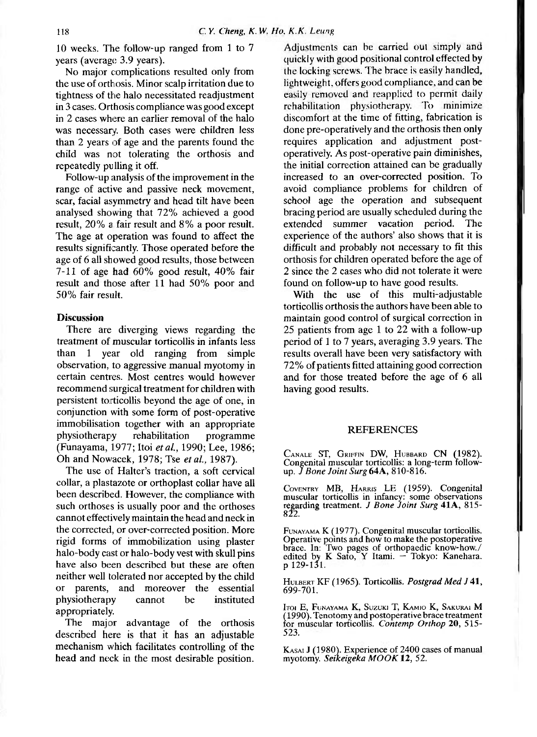10 weeks. The follow-up ranged from 1 to 7 years (average 3.9 years).

No major complications resulted only from the use of orthosis. Minor scalp irritation due to tightness of the halo necessitated readjustment in 3 cases. Orthosis compliance was good except in 2 cases where an earlier removal of the halo was necessary. Both cases were children less than 2 years of age and the parents found the child was not tolerating the orthosis and repeatedly pulling it off.

Follow-up analysis of the improvement in the range of active and passive neck movement, scar, facial asymmetry and head tilt have been analysed showing that 72% achieved a good result, 20% a fair result and 8% a poor result. The age at operation was found to affect the results significantly. Those operated before the age of 6 all showed good results, those between 7-11 of age had 60% good result, 40% fair result and those after 11 had 50% poor and 50% fair result.

### **Discussion**

There are diverging views regarding the treatment of muscular torticollis in infants less than 1 year old ranging from simple observation, to aggressive manual myotomy in certain centres. Most centres would however recommend surgical treatment for children with persistent torticollis beyond the age of one, in conjunction with some form of post-operative immobilisation together with an appropriate physiotherapy rehabilitation programme (Funayama, 1977; Itoi *et al.,* 1990; Lee, 1986; Oh and Nowacek, 1978; Tse *et al.,* 1987).

The use of Halter's traction, a soft cervical collar, a plastazote or orthoplast collar have all been described. However, the compliance with such orthoses is usually poor and the orthoses cannot effectively maintain the head and neck in the corrected, or over-corrected position. More rigid forms of immobilization using plaster halo-body cast or halo-body vest with skull pins have also been described but these are often neither well tolerated nor accepted by the child or parents, and moreover the essential physiotherapy cannot be instituted appropriately.

The major advantage of the orthosis described here is that it has an adjustable mechanism which facilitates controlling of the head and neck in the most desirable position.

Adjustments can be carried out simply and quickly with good positional control effected by the locking screws. The brace is easily handled, lightweight, offers good compliance, and can be easily removed and reapplied to permit daily rehabilitation physiotherapy. To minimize discomfort at the time of fitting, fabrication is done pre-operatively and the orthosis then only requires application and adjustment postoperatively. As post-operative pain diminishes, the initial correction attained can be gradually increased to an over-corrected position. To avoid compliance problems for children of school age the operation and subsequent bracing period are usually scheduled during the extended summer vacation period. The experience of the authors' also shows that it is difficult and probably not necessary to fit this orthosis for children operated before the age of 2 since the 2 cases who did not tolerate it were found on follow-up to have good results.

With the use of this multi-adjustable torticollis orthosis the authors have been able to maintain good control of surgical correction in 25 patients from age 1 to 22 with a follow-up period of 1 to 7 years, averaging 3.9 years. The results overall have been very satisfactory with 72% of patients fitted attaining good correction and for those treated before the age of 6 all having good results.

#### **REFERENCES**

CANALE ST, GRIFFIN DW, HUBBARD CN (1982). Congenital muscular torticollis: a long-term followup. *J Bone Joint Surg* **64A,** 810-816 .

COVENTRY MB, HARRIS LE (1959). Congenital muscular torticollis in infancy: some observations<br>regarding treatment. *J Bone Joint Surg* 41A, 815-<br>822.

FUNAYAMA K (1977) . Congenital muscular torticollis. Operative points and how to make the postoperative brace. In: Two pages of orthopaedic know-how./ edited by K Sato, Y Itami. — Tokyo: Kanehara. p 129-131 .

HULBERT K F (1965) . Torticollis. *Postgrad Med J* **41,**  699-701.

ITOI E, FUNAYAMA K, SUZUKI *T,* KAMIO K, SAKURAI M (1990) . Tenotomy and postoperative brace treatment for muscular torticollis. *Contemp Orthop* 20, 515 - 523.

KASAI J (1980). Experience of 2400 cases of manual myotomy. *Seikeigeka MOOK 12, 52.*